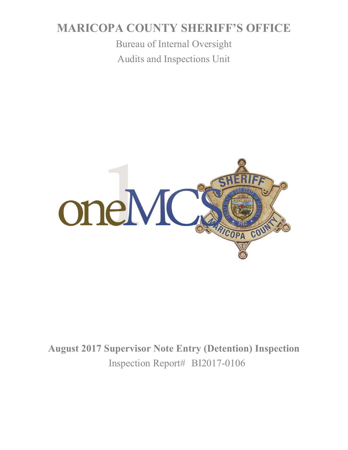# **MARICOPA COUNTY SHERIFF'S OFFICE**

Bureau of Internal Oversight Audits and Inspections Unit



**August 2017 Supervisor Note Entry (Detention) Inspection** Inspection Report# BI2017-0106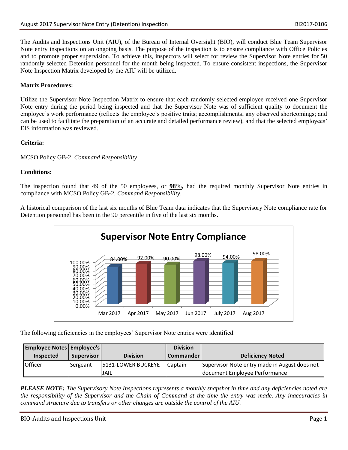The Audits and Inspections Unit (AIU), of the Bureau of Internal Oversight (BIO), will conduct Blue Team Supervisor Note entry inspections on an ongoing basis. The purpose of the inspection is to ensure compliance with Office Policies and to promote proper supervision. To achieve this, inspectors will select for review the Supervisor Note entries for 50 randomly selected Detention personnel for the month being inspected. To ensure consistent inspections, the Supervisor Note Inspection Matrix developed by the AIU will be utilized.

## **Matrix Procedures:**

Utilize the Supervisor Note Inspection Matrix to ensure that each randomly selected employee received one Supervisor Note entry during the period being inspected and that the Supervisor Note was of sufficient quality to document the employee's work performance (reflects the employee's positive traits; accomplishments; any observed shortcomings; and can be used to facilitate the preparation of an accurate and detailed performance review), and that the selected employees' EIS information was reviewed.

### **Criteria:**

MCSO Policy GB-2, *Command Responsibility*

### **Conditions:**

The inspection found that 49 of the 50 employees, or **98%,** had the required monthly Supervisor Note entries in compliance with MCSO Policy GB-2, *Command Responsibility*.

A historical comparison of the last six months of Blue Team data indicates that the Supervisory Note compliance rate for Detention personnel has been in the 90 percentile in five of the last six months.



The following deficiencies in the employees' Supervisor Note entries were identified:

| <b>Employee Notes Employee's</b> |              |                           | <b>Division</b>      |                                               |
|----------------------------------|--------------|---------------------------|----------------------|-----------------------------------------------|
| <b>Inspected</b>                 | Supervisor I | <b>Division</b>           | <b>I</b> Commander I | Deficiency Noted                              |
| <b>Officer</b>                   | Sergeant     | <b>5131-LOWER BUCKEYE</b> | l Captain            | Supervisor Note entry made in August does not |
|                                  |              | <b>JAIL</b>               |                      | document Employee Performance                 |

*PLEASE NOTE: The Supervisory Note Inspections represents a monthly snapshot in time and any deficiencies noted are the responsibility of the Supervisor and the Chain of Command at the time the entry was made. Any inaccuracies in command structure due to transfers or other changes are outside the control of the AIU.*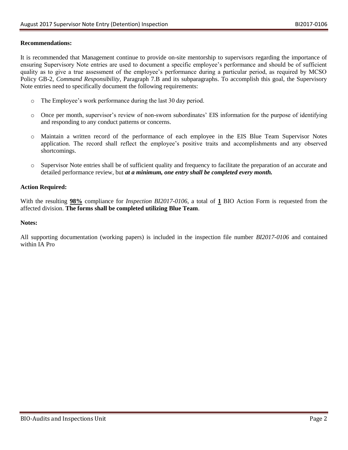#### **Recommendations:**

It is recommended that Management continue to provide on-site mentorship to supervisors regarding the importance of ensuring Supervisory Note entries are used to document a specific employee's performance and should be of sufficient quality as to give a true assessment of the employee's performance during a particular period, as required by MCSO Policy GB-2, *Command Responsibility,* Paragraph 7.B and its subparagraphs. To accomplish this goal, the Supervisory Note entries need to specifically document the following requirements:

- o The Employee's work performance during the last 30 day period.
- o Once per month, supervisor's review of non-sworn subordinates' EIS information for the purpose of identifying and responding to any conduct patterns or concerns.
- o Maintain a written record of the performance of each employee in the EIS Blue Team Supervisor Notes application. The record shall reflect the employee's positive traits and accomplishments and any observed shortcomings.
- o Supervisor Note entries shall be of sufficient quality and frequency to facilitate the preparation of an accurate and detailed performance review, but *at a minimum, one entry shall be completed every month.*

#### **Action Required:**

With the resulting **98%** compliance for *Inspection BI2017-0106*, a total of **1** BIO Action Form is requested from the affected division. **The forms shall be completed utilizing Blue Team**.

#### **Notes:**

All supporting documentation (working papers) is included in the inspection file number *BI2017-0106* and contained within IA Pro